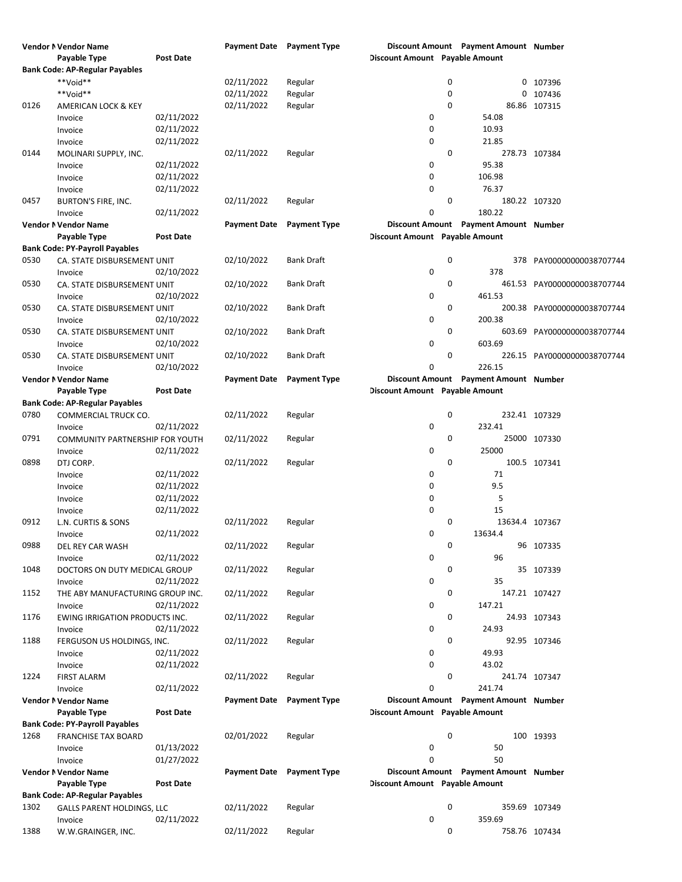|      | Vendor N Vendor Name                  |                  | <b>Payment Date</b> Payment Type |                     |                                       |   | Discount Amount Payment Amount Number |                             |
|------|---------------------------------------|------------------|----------------------------------|---------------------|---------------------------------------|---|---------------------------------------|-----------------------------|
|      | Payable Type                          | <b>Post Date</b> |                                  |                     | Discount Amount Payable Amount        |   |                                       |                             |
|      | <b>Bank Code: AP-Regular Payables</b> |                  |                                  |                     |                                       |   |                                       |                             |
|      | **Void**                              |                  | 02/11/2022                       | Regular             |                                       | 0 |                                       | 0 107396                    |
|      | **Void**                              |                  | 02/11/2022                       | Regular             |                                       | 0 |                                       | 0 107436                    |
| 0126 | AMERICAN LOCK & KEY                   |                  | 02/11/2022                       | Regular             |                                       | 0 |                                       | 86.86 107315                |
|      |                                       | 02/11/2022       |                                  |                     |                                       |   |                                       |                             |
|      | Invoice                               |                  |                                  |                     | 0                                     |   | 54.08                                 |                             |
|      | Invoice                               | 02/11/2022       |                                  |                     | 0                                     |   | 10.93                                 |                             |
|      | Invoice                               | 02/11/2022       |                                  |                     | 0                                     |   | 21.85                                 |                             |
| 0144 | MOLINARI SUPPLY, INC.                 |                  | 02/11/2022                       | Regular             |                                       | 0 |                                       | 278.73 107384               |
|      | Invoice                               | 02/11/2022       |                                  |                     | 0                                     |   | 95.38                                 |                             |
|      | Invoice                               | 02/11/2022       |                                  |                     | 0                                     |   | 106.98                                |                             |
|      | Invoice                               | 02/11/2022       |                                  |                     | $\mathbf 0$                           |   | 76.37                                 |                             |
| 0457 | BURTON'S FIRE, INC.                   |                  | 02/11/2022                       | Regular             |                                       | 0 |                                       | 180.22 107320               |
|      | Invoice                               | 02/11/2022       |                                  |                     | $\mathbf 0$                           |   | 180.22                                |                             |
|      |                                       |                  |                                  |                     |                                       |   |                                       |                             |
|      | Vendor N Vendor Name                  |                  | <b>Payment Date</b>              | <b>Payment Type</b> |                                       |   | Discount Amount Payment Amount Number |                             |
|      | Payable Type                          | <b>Post Date</b> |                                  |                     | <b>Discount Amount</b> Payable Amount |   |                                       |                             |
|      | <b>Bank Code: PY-Payroll Payables</b> |                  |                                  |                     |                                       |   |                                       |                             |
| 0530 | CA. STATE DISBURSEMENT UNIT           |                  | 02/10/2022                       | Bank Draft          |                                       | 0 |                                       | 378 PAY00000000038707744    |
|      | Invoice                               | 02/10/2022       |                                  |                     | 0                                     |   | 378                                   |                             |
| 0530 | CA. STATE DISBURSEMENT UNIT           |                  | 02/10/2022                       | <b>Bank Draft</b>   |                                       | 0 |                                       | 461.53 PAY00000000038707744 |
|      | Invoice                               | 02/10/2022       |                                  |                     | 0                                     |   | 461.53                                |                             |
| 0530 | CA. STATE DISBURSEMENT UNIT           |                  | 02/10/2022                       | <b>Bank Draft</b>   |                                       | 0 |                                       | 200.38 PAY00000000038707744 |
|      |                                       | 02/10/2022       |                                  |                     | 0                                     |   | 200.38                                |                             |
|      | Invoice                               |                  |                                  |                     |                                       |   |                                       |                             |
| 0530 | CA. STATE DISBURSEMENT UNIT           |                  | 02/10/2022                       | Bank Draft          |                                       | 0 |                                       | 603.69 PAY00000000038707744 |
|      | Invoice                               | 02/10/2022       |                                  |                     | 0                                     |   | 603.69                                |                             |
| 0530 | CA. STATE DISBURSEMENT UNIT           |                  | 02/10/2022                       | Bank Draft          |                                       | 0 |                                       | 226.15 PAY00000000038707744 |
|      | Invoice                               | 02/10/2022       |                                  |                     | 0                                     |   | 226.15                                |                             |
|      | Vendor N Vendor Name                  |                  | <b>Payment Date</b>              | <b>Payment Type</b> |                                       |   | Discount Amount Payment Amount Number |                             |
|      | Payable Type                          | <b>Post Date</b> |                                  |                     | <b>Discount Amount</b> Payable Amount |   |                                       |                             |
|      | <b>Bank Code: AP-Regular Payables</b> |                  |                                  |                     |                                       |   |                                       |                             |
| 0780 | COMMERCIAL TRUCK CO.                  |                  | 02/11/2022                       | Regular             |                                       | 0 |                                       | 232.41 107329               |
|      | Invoice                               | 02/11/2022       |                                  |                     | 0                                     |   | 232.41                                |                             |
|      |                                       |                  |                                  |                     |                                       |   |                                       |                             |
| 0791 | COMMUNITY PARTNERSHIP FOR YOUTH       |                  | 02/11/2022                       | Regular             |                                       | 0 |                                       | 25000 107330                |
|      | Invoice                               | 02/11/2022       |                                  |                     | 0                                     |   | 25000                                 |                             |
| 0898 | DTJ CORP.                             |                  | 02/11/2022                       | Regular             |                                       | 0 |                                       | 100.5 107341                |
|      | Invoice                               | 02/11/2022       |                                  |                     | 0                                     |   | 71                                    |                             |
|      | Invoice                               | 02/11/2022       |                                  |                     | 0                                     |   | 9.5                                   |                             |
|      | Invoice                               | 02/11/2022       |                                  |                     | 0                                     |   | 5                                     |                             |
|      | Invoice                               | 02/11/2022       |                                  |                     | $\mathbf 0$                           |   | 15                                    |                             |
| 0912 | L.N. CURTIS & SONS                    |                  | 02/11/2022                       | Regular             |                                       | 0 | 13634.4 107367                        |                             |
|      |                                       | 02/11/2022       |                                  |                     | $\mathbf 0$                           |   | 13634.4                               |                             |
|      | Invoice                               |                  |                                  |                     |                                       |   |                                       |                             |
| 0988 | DEL REY CAR WASH                      |                  | 02/11/2022                       | Regular             |                                       | 0 |                                       | 96 107335                   |
|      | Invoice                               | 02/11/2022       |                                  |                     | 0                                     |   | 96                                    |                             |
| 1048 | DOCTORS ON DUTY MEDICAL GROUP         |                  | 02/11/2022                       | Regular             |                                       | 0 |                                       | 35 107339                   |
|      | Invoice                               | 02/11/2022       |                                  |                     | 0                                     |   | 35                                    |                             |
| 1152 | THE ABY MANUFACTURING GROUP INC.      |                  | 02/11/2022                       | Regular             |                                       | 0 |                                       | 147.21 107427               |
|      | Invoice                               | 02/11/2022       |                                  |                     | 0                                     |   | 147.21                                |                             |
| 1176 | EWING IRRIGATION PRODUCTS INC.        |                  | 02/11/2022                       | Regular             |                                       | 0 |                                       | 24.93 107343                |
|      | Invoice                               | 02/11/2022       |                                  |                     | 0                                     |   | 24.93                                 |                             |
| 1188 |                                       |                  | 02/11/2022                       |                     |                                       | 0 |                                       |                             |
|      | FERGUSON US HOLDINGS, INC.            |                  |                                  | Regular             |                                       |   |                                       | 92.95 107346                |
|      | Invoice                               | 02/11/2022       |                                  |                     | 0                                     |   | 49.93                                 |                             |
|      | Invoice                               | 02/11/2022       |                                  |                     | 0                                     |   | 43.02                                 |                             |
| 1224 | <b>FIRST ALARM</b>                    |                  | 02/11/2022                       | Regular             |                                       | 0 |                                       | 241.74 107347               |
|      | Invoice                               | 02/11/2022       |                                  |                     | 0                                     |   | 241.74                                |                             |
|      | Vendor N Vendor Name                  |                  | <b>Payment Date</b>              | <b>Payment Type</b> |                                       |   | Discount Amount Payment Amount Number |                             |
|      | Payable Type                          | <b>Post Date</b> |                                  |                     | Discount Amount Payable Amount        |   |                                       |                             |
|      | <b>Bank Code: PY-Payroll Payables</b> |                  |                                  |                     |                                       |   |                                       |                             |
| 1268 | <b>FRANCHISE TAX BOARD</b>            |                  | 02/01/2022                       | Regular             |                                       | 0 |                                       | 100 19393                   |
|      |                                       | 01/13/2022       |                                  |                     | 0                                     |   | 50                                    |                             |
|      | Invoice                               |                  |                                  |                     |                                       |   |                                       |                             |
|      | Invoice                               | 01/27/2022       |                                  |                     | $\mathbf 0$                           |   | 50                                    |                             |
|      | Vendor N Vendor Name                  |                  | <b>Payment Date</b>              | <b>Payment Type</b> |                                       |   | Discount Amount Payment Amount Number |                             |
|      | Payable Type                          | <b>Post Date</b> |                                  |                     | Discount Amount Payable Amount        |   |                                       |                             |
|      | <b>Bank Code: AP-Regular Payables</b> |                  |                                  |                     |                                       |   |                                       |                             |
| 1302 | <b>GALLS PARENT HOLDINGS, LLC</b>     |                  | 02/11/2022                       | Regular             |                                       | 0 |                                       | 359.69 107349               |
|      | Invoice                               | 02/11/2022       |                                  |                     | 0                                     |   | 359.69                                |                             |
| 1388 | W.W.GRAINGER, INC.                    |                  | 02/11/2022                       | Regular             |                                       | 0 |                                       | 758.76 107434               |
|      |                                       |                  |                                  |                     |                                       |   |                                       |                             |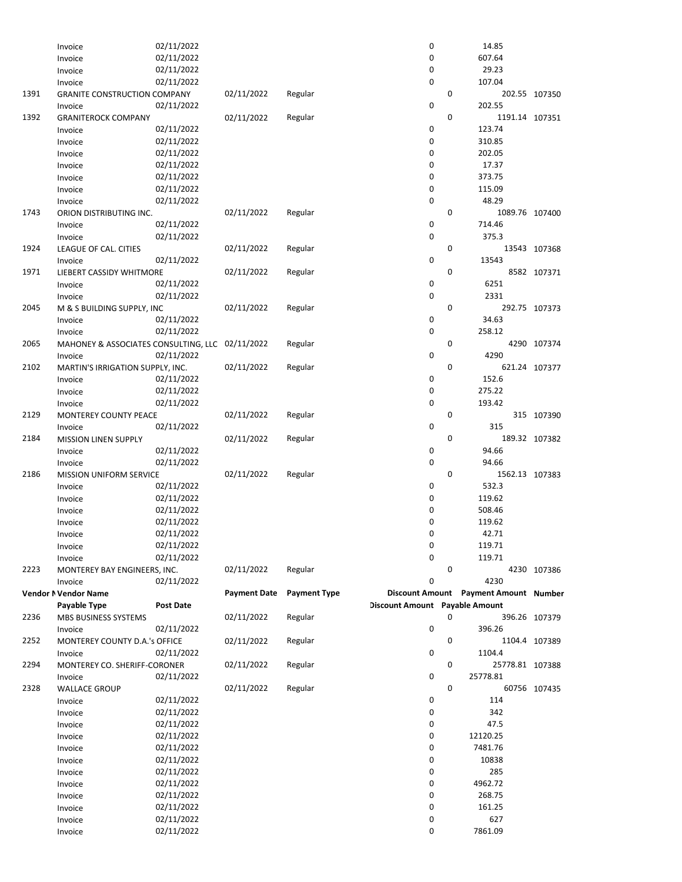|      | Invoice                                         | 02/11/2022               |                     |                     | 0                              |             | 14.85                                 |               |
|------|-------------------------------------------------|--------------------------|---------------------|---------------------|--------------------------------|-------------|---------------------------------------|---------------|
|      | Invoice                                         | 02/11/2022               |                     |                     | 0                              |             | 607.64                                |               |
|      | Invoice                                         | 02/11/2022               |                     |                     | 0                              |             | 29.23                                 |               |
|      | Invoice                                         | 02/11/2022               |                     |                     | 0                              |             | 107.04                                |               |
| 1391 | <b>GRANITE CONSTRUCTION COMPANY</b>             |                          | 02/11/2022          | Regular             |                                | 0           |                                       | 202.55 107350 |
|      | Invoice                                         | 02/11/2022               |                     |                     | 0                              |             | 202.55                                |               |
| 1392 | <b>GRANITEROCK COMPANY</b>                      |                          | 02/11/2022          | Regular             |                                | 0           | 1191.14 107351                        |               |
|      | Invoice                                         | 02/11/2022               |                     |                     | 0                              |             | 123.74                                |               |
|      | Invoice                                         | 02/11/2022               |                     |                     | 0                              |             | 310.85                                |               |
|      | Invoice                                         | 02/11/2022               |                     |                     | 0                              |             | 202.05                                |               |
|      | Invoice                                         | 02/11/2022               |                     |                     | 0                              |             | 17.37                                 |               |
|      | Invoice                                         | 02/11/2022               |                     |                     | 0                              |             | 373.75                                |               |
|      | Invoice                                         | 02/11/2022               |                     |                     | 0                              |             | 115.09                                |               |
|      | Invoice                                         | 02/11/2022               |                     |                     | 0                              |             | 48.29                                 |               |
| 1743 | ORION DISTRIBUTING INC.                         |                          | 02/11/2022          | Regular             |                                | $\mathbf 0$ | 1089.76 107400                        |               |
|      | Invoice                                         | 02/11/2022               |                     |                     | 0                              |             | 714.46                                |               |
|      | Invoice                                         | 02/11/2022               |                     |                     | 0                              |             | 375.3                                 |               |
| 1924 | LEAGUE OF CAL. CITIES                           |                          | 02/11/2022          | Regular             |                                | 0           |                                       | 13543 107368  |
|      | Invoice                                         | 02/11/2022               |                     |                     | 0                              |             | 13543                                 |               |
| 1971 | LIEBERT CASSIDY WHITMORE                        |                          | 02/11/2022          | Regular             |                                | 0           |                                       | 8582 107371   |
|      | Invoice                                         | 02/11/2022               |                     |                     | 0                              |             | 6251                                  |               |
|      | Invoice                                         | 02/11/2022               |                     |                     | 0                              |             | 2331                                  |               |
| 2045 | M & S BUILDING SUPPLY, INC                      |                          | 02/11/2022          | Regular             |                                | 0           |                                       | 292.75 107373 |
|      | Invoice                                         | 02/11/2022               |                     |                     | 0                              |             | 34.63                                 |               |
|      | Invoice                                         | 02/11/2022               |                     |                     | 0                              |             | 258.12                                |               |
| 2065 | MAHONEY & ASSOCIATES CONSULTING, LLC 02/11/2022 |                          |                     | Regular             |                                | 0           |                                       | 4290 107374   |
|      | Invoice                                         | 02/11/2022               |                     |                     | 0                              |             | 4290                                  |               |
| 2102 | MARTIN'S IRRIGATION SUPPLY, INC.                |                          | 02/11/2022          | Regular             |                                | 0           |                                       | 621.24 107377 |
|      | Invoice                                         | 02/11/2022               |                     |                     | $\pmb{0}$                      |             | 152.6                                 |               |
|      | Invoice                                         | 02/11/2022               |                     |                     | 0                              |             | 275.22                                |               |
|      | Invoice                                         | 02/11/2022               |                     |                     | 0                              |             | 193.42                                |               |
| 2129 | MONTEREY COUNTY PEACE                           |                          | 02/11/2022          | Regular             |                                | 0           |                                       | 315 107390    |
|      | Invoice                                         | 02/11/2022               |                     |                     | 0                              |             | 315                                   |               |
| 2184 | <b>MISSION LINEN SUPPLY</b>                     |                          | 02/11/2022          | Regular             |                                | 0           |                                       | 189.32 107382 |
|      | Invoice                                         | 02/11/2022               |                     |                     | 0                              |             | 94.66                                 |               |
|      | Invoice                                         | 02/11/2022               |                     |                     | 0                              |             | 94.66                                 |               |
| 2186 | MISSION UNIFORM SERVICE                         |                          | 02/11/2022          | Regular             |                                | 0           | 1562.13 107383                        |               |
|      | Invoice                                         | 02/11/2022               |                     |                     | 0                              |             | 532.3                                 |               |
|      | Invoice                                         | 02/11/2022               |                     |                     | 0                              |             | 119.62                                |               |
|      | Invoice                                         | 02/11/2022               |                     |                     | 0                              |             | 508.46                                |               |
|      | Invoice                                         | 02/11/2022               |                     |                     | 0                              |             | 119.62                                |               |
|      | Invoice                                         | 02/11/2022               |                     |                     | 0                              |             | 42.71                                 |               |
|      |                                                 | 02/11/2022               |                     |                     | 0                              |             | 119.71                                |               |
|      | Invoice                                         | 02/11/2022               |                     |                     | 0                              |             | 119.71                                |               |
| 2223 | Invoice<br>MONTEREY BAY ENGINEERS, INC.         |                          | 02/11/2022          | Regular             |                                | 0           |                                       | 4230 107386   |
|      |                                                 | 02/11/2022               |                     |                     | 0                              |             | 4230                                  |               |
|      | Invoice<br>Vendor N Vendor Name                 |                          | <b>Payment Date</b> | <b>Payment Type</b> |                                |             | Discount Amount Payment Amount Number |               |
|      | Payable Type                                    | <b>Post Date</b>         |                     |                     | Discount Amount Payable Amount |             |                                       |               |
| 2236 | MBS BUSINESS SYSTEMS                            |                          | 02/11/2022          | Regular             |                                | 0           |                                       | 396.26 107379 |
|      | Invoice                                         | 02/11/2022               |                     |                     | 0                              |             | 396.26                                |               |
| 2252 | MONTEREY COUNTY D.A.'s OFFICE                   |                          | 02/11/2022          | Regular             |                                | 0           |                                       | 1104.4 107389 |
|      | Invoice                                         | 02/11/2022               |                     |                     | 0                              |             | 1104.4                                |               |
| 2294 |                                                 |                          |                     |                     |                                |             |                                       |               |
|      |                                                 |                          |                     |                     |                                |             |                                       |               |
| 2328 | MONTEREY CO. SHERIFF-CORONER                    |                          | 02/11/2022          | Regular             |                                | 0           | 25778.81 107388                       |               |
|      | Invoice                                         | 02/11/2022               |                     |                     | 0                              |             | 25778.81                              |               |
|      | <b>WALLACE GROUP</b>                            |                          | 02/11/2022          | Regular             |                                | 0           |                                       | 60756 107435  |
|      | Invoice                                         | 02/11/2022               |                     |                     | 0                              |             | 114                                   |               |
|      | Invoice                                         | 02/11/2022               |                     |                     | 0                              |             | 342                                   |               |
|      | Invoice                                         | 02/11/2022               |                     |                     | 0                              |             | 47.5                                  |               |
|      | Invoice                                         | 02/11/2022               |                     |                     | 0                              |             | 12120.25                              |               |
|      | Invoice                                         | 02/11/2022               |                     |                     | 0                              |             | 7481.76                               |               |
|      | Invoice                                         | 02/11/2022               |                     |                     | 0                              |             | 10838                                 |               |
|      | Invoice                                         | 02/11/2022               |                     |                     | 0                              |             | 285                                   |               |
|      | Invoice                                         | 02/11/2022               |                     |                     | 0                              |             | 4962.72                               |               |
|      | Invoice                                         | 02/11/2022               |                     |                     | 0                              |             | 268.75                                |               |
|      | Invoice                                         | 02/11/2022               |                     |                     | 0                              |             | 161.25                                |               |
|      | Invoice<br>Invoice                              | 02/11/2022<br>02/11/2022 |                     |                     | 0<br>0                         |             | 627<br>7861.09                        |               |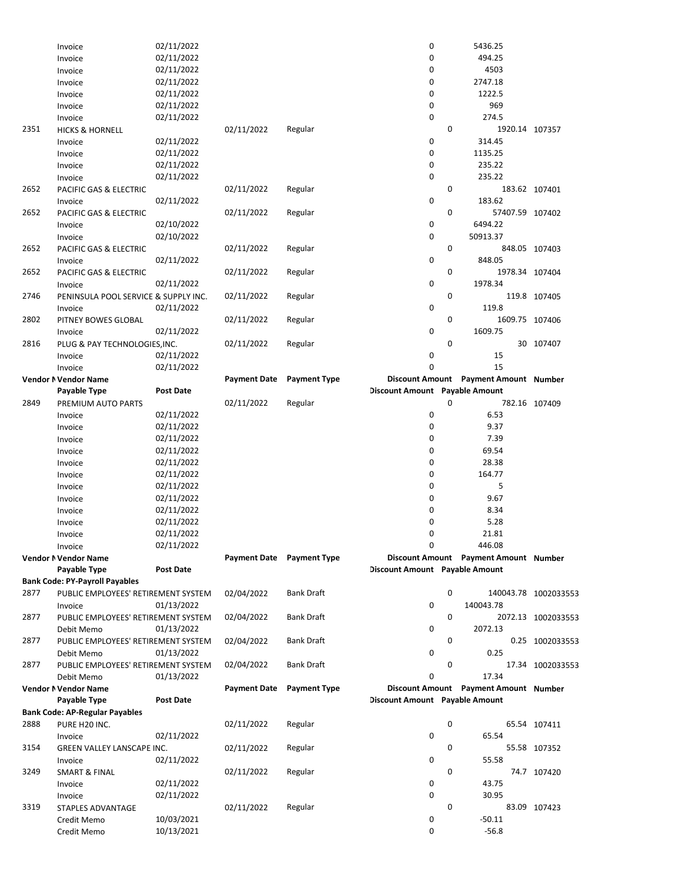|      | Invoice                               | 02/11/2022       |                           |                     | 0                              |   | 5436.25                               |                      |
|------|---------------------------------------|------------------|---------------------------|---------------------|--------------------------------|---|---------------------------------------|----------------------|
|      | Invoice                               | 02/11/2022       |                           |                     | 0                              |   | 494.25                                |                      |
|      | Invoice                               | 02/11/2022       |                           |                     | 0                              |   | 4503                                  |                      |
|      | Invoice                               | 02/11/2022       |                           |                     | 0                              |   | 2747.18                               |                      |
|      | Invoice                               | 02/11/2022       |                           |                     | 0                              |   | 1222.5                                |                      |
|      | Invoice                               | 02/11/2022       |                           |                     | 0                              |   | 969                                   |                      |
|      | Invoice                               | 02/11/2022       |                           |                     | 0                              |   | 274.5                                 |                      |
| 2351 | <b>HICKS &amp; HORNELL</b>            |                  | 02/11/2022                | Regular             |                                | 0 | 1920.14 107357                        |                      |
|      |                                       | 02/11/2022       |                           |                     | 0                              |   | 314.45                                |                      |
|      | Invoice                               |                  |                           |                     | 0                              |   |                                       |                      |
|      | Invoice                               | 02/11/2022       |                           |                     |                                |   | 1135.25                               |                      |
|      | Invoice                               | 02/11/2022       |                           |                     | 0                              |   | 235.22                                |                      |
|      | Invoice                               | 02/11/2022       |                           |                     | 0                              |   | 235.22                                |                      |
| 2652 | PACIFIC GAS & ELECTRIC                |                  | 02/11/2022                | Regular             |                                | 0 |                                       | 183.62 107401        |
|      | Invoice                               | 02/11/2022       |                           |                     | 0                              |   | 183.62                                |                      |
| 2652 | PACIFIC GAS & ELECTRIC                |                  | 02/11/2022                | Regular             |                                | 0 | 57407.59 107402                       |                      |
|      | Invoice                               | 02/10/2022       |                           |                     | 0                              |   | 6494.22                               |                      |
|      | Invoice                               | 02/10/2022       |                           |                     | 0                              |   | 50913.37                              |                      |
| 2652 | PACIFIC GAS & ELECTRIC                |                  | 02/11/2022                | Regular             |                                | 0 |                                       | 848.05 107403        |
|      | Invoice                               | 02/11/2022       |                           |                     | 0                              |   | 848.05                                |                      |
| 2652 | PACIFIC GAS & ELECTRIC                |                  | 02/11/2022                | Regular             |                                | 0 | 1978.34 107404                        |                      |
|      | Invoice                               | 02/11/2022       |                           |                     | 0                              |   | 1978.34                               |                      |
| 2746 | PENINSULA POOL SERVICE & SUPPLY INC.  |                  | 02/11/2022                | Regular             |                                | 0 |                                       | 119.8 107405         |
|      | Invoice                               | 02/11/2022       |                           |                     | 0                              |   | 119.8                                 |                      |
| 2802 | PITNEY BOWES GLOBAL                   |                  | 02/11/2022                | Regular             |                                | 0 | 1609.75 107406                        |                      |
|      | Invoice                               | 02/11/2022       |                           |                     | 0                              |   | 1609.75                               |                      |
| 2816 | PLUG & PAY TECHNOLOGIES, INC.         |                  | 02/11/2022                | Regular             |                                | 0 |                                       | 30 107407            |
|      | Invoice                               | 02/11/2022       |                           |                     | 0                              |   | 15                                    |                      |
|      | Invoice                               | 02/11/2022       |                           |                     | 0                              |   | 15                                    |                      |
|      | Vendor N Vendor Name                  |                  | <b>Payment Date</b>       | <b>Payment Type</b> |                                |   | Discount Amount Payment Amount Number |                      |
|      | Payable Type                          | <b>Post Date</b> |                           |                     | Discount Amount Payable Amount |   |                                       |                      |
| 2849 |                                       |                  | 02/11/2022                |                     |                                | 0 |                                       |                      |
|      | PREMIUM AUTO PARTS                    |                  |                           | Regular             |                                |   |                                       | 782.16 107409        |
|      | Invoice                               | 02/11/2022       |                           |                     | 0                              |   | 6.53                                  |                      |
|      | Invoice                               | 02/11/2022       |                           |                     | 0                              |   | 9.37                                  |                      |
|      |                                       |                  |                           |                     |                                |   |                                       |                      |
|      | Invoice                               | 02/11/2022       |                           |                     | 0                              |   | 7.39                                  |                      |
|      | Invoice                               | 02/11/2022       |                           |                     | 0                              |   | 69.54                                 |                      |
|      | Invoice                               | 02/11/2022       |                           |                     | 0                              |   | 28.38                                 |                      |
|      | Invoice                               | 02/11/2022       |                           |                     | 0                              |   | 164.77                                |                      |
|      | Invoice                               | 02/11/2022       |                           |                     | 0                              |   | 5                                     |                      |
|      | Invoice                               | 02/11/2022       |                           |                     | 0                              |   | 9.67                                  |                      |
|      | Invoice                               | 02/11/2022       |                           |                     | 0                              |   | 8.34                                  |                      |
|      | Invoice                               | 02/11/2022       |                           |                     | 0                              |   | 5.28                                  |                      |
|      | Invoice                               | 02/11/2022       |                           |                     | 0                              |   | 21.81                                 |                      |
|      | Invoice                               | 02/11/2022       |                           |                     | 0                              |   | 446.08                                |                      |
|      | Vendor N Vendor Name                  |                  | Payment Date Payment Type |                     |                                |   | Discount Amount Payment Amount Number |                      |
|      | Payable Type                          | Post Date        |                           |                     | Discount Amount Payable Amount |   |                                       |                      |
|      |                                       |                  |                           |                     |                                |   |                                       |                      |
| 2877 | <b>Bank Code: PY-Payroll Payables</b> |                  |                           |                     |                                | 0 |                                       |                      |
|      | PUBLIC EMPLOYEES' RETIREMENT SYSTEM   | 01/13/2022       | 02/04/2022                | <b>Bank Draft</b>   | 0                              |   | 140043.78                             | 140043.78 1002033553 |
|      | Invoice                               |                  |                           |                     |                                |   |                                       |                      |
| 2877 | PUBLIC EMPLOYEES' RETIREMENT SYSTEM   |                  | 02/04/2022                | Bank Draft          |                                | 0 |                                       | 2072.13 1002033553   |
|      | Debit Memo                            | 01/13/2022       |                           |                     | 0                              |   | 2072.13                               |                      |
| 2877 | PUBLIC EMPLOYEES' RETIREMENT SYSTEM   |                  | 02/04/2022                | Bank Draft          |                                | 0 |                                       | 0.25 1002033553      |
|      | Debit Memo                            | 01/13/2022       |                           |                     | 0                              |   | 0.25                                  |                      |
| 2877 | PUBLIC EMPLOYEES' RETIREMENT SYSTEM   |                  | 02/04/2022                | <b>Bank Draft</b>   |                                | 0 |                                       | 17.34 1002033553     |
|      | Debit Memo                            | 01/13/2022       |                           |                     | 0                              |   | 17.34                                 |                      |
|      | Vendor N Vendor Name                  |                  | <b>Payment Date</b>       | <b>Payment Type</b> |                                |   | Discount Amount Payment Amount Number |                      |
|      | Payable Type                          | Post Date        |                           |                     | Discount Amount Payable Amount |   |                                       |                      |
|      | <b>Bank Code: AP-Regular Payables</b> |                  |                           |                     |                                |   |                                       |                      |
| 2888 | PURE H20 INC.                         |                  | 02/11/2022                | Regular             |                                | 0 |                                       | 65.54 107411         |
|      | Invoice                               | 02/11/2022       |                           |                     | 0                              |   | 65.54                                 |                      |
| 3154 | GREEN VALLEY LANSCAPE INC.            |                  | 02/11/2022                | Regular             |                                | 0 |                                       | 55.58 107352         |
|      | Invoice                               | 02/11/2022       |                           |                     | 0                              |   | 55.58                                 |                      |
| 3249 | <b>SMART &amp; FINAL</b>              |                  | 02/11/2022                | Regular             |                                | 0 |                                       | 74.7 107420          |
|      | Invoice                               | 02/11/2022       |                           |                     | 0                              |   | 43.75                                 |                      |
|      | Invoice                               | 02/11/2022       |                           |                     | 0                              |   | 30.95                                 |                      |
| 3319 | STAPLES ADVANTAGE                     |                  | 02/11/2022                | Regular             |                                | 0 |                                       | 83.09 107423         |
|      | Credit Memo                           | 10/03/2021       |                           |                     | 0                              |   | $-50.11$                              |                      |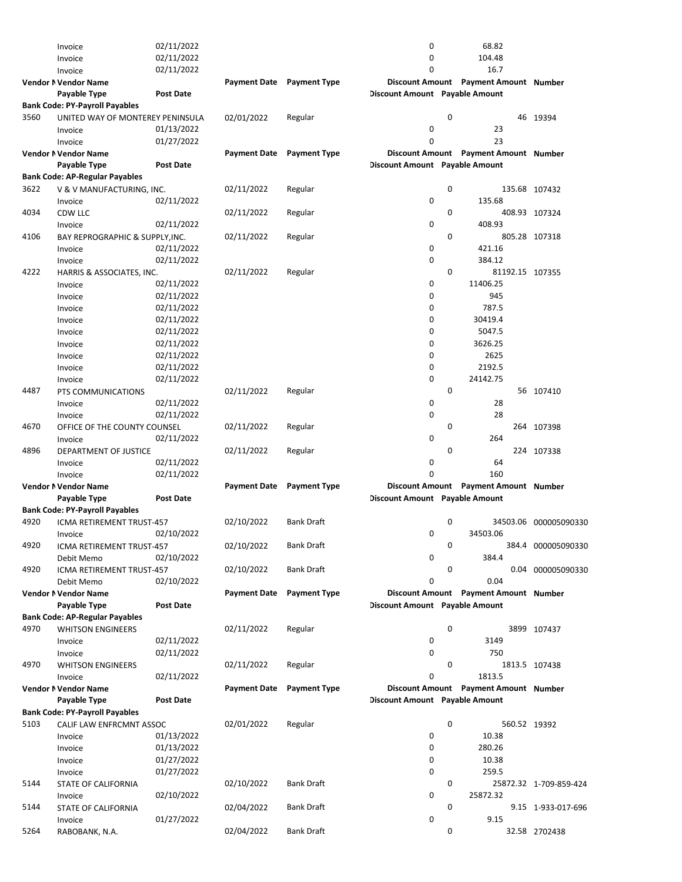|      | Invoice                               | 02/11/2022       |                     |                                  | 0                              |   | 68.82                                 |                        |
|------|---------------------------------------|------------------|---------------------|----------------------------------|--------------------------------|---|---------------------------------------|------------------------|
|      | Invoice                               | 02/11/2022       |                     |                                  | 0                              |   | 104.48                                |                        |
|      | Invoice                               | 02/11/2022       |                     |                                  | 0                              |   | 16.7                                  |                        |
|      | <b>Vendor N Vendor Name</b>           |                  |                     | <b>Payment Date</b> Payment Type |                                |   | Discount Amount Payment Amount Number |                        |
|      | Payable Type                          | <b>Post Date</b> |                     |                                  | Discount Amount Payable Amount |   |                                       |                        |
|      |                                       |                  |                     |                                  |                                |   |                                       |                        |
|      | <b>Bank Code: PY-Payroll Payables</b> |                  |                     |                                  |                                |   |                                       |                        |
| 3560 | UNITED WAY OF MONTEREY PENINSULA      |                  | 02/01/2022          | Regular                          |                                | 0 |                                       | 46 19394               |
|      | Invoice                               | 01/13/2022       |                     |                                  | 0                              |   | 23                                    |                        |
|      | Invoice                               | 01/27/2022       |                     |                                  | 0                              |   | 23                                    |                        |
|      | Vendor N Vendor Name                  |                  | <b>Payment Date</b> | <b>Payment Type</b>              |                                |   | Discount Amount Payment Amount Number |                        |
|      | Payable Type                          | <b>Post Date</b> |                     |                                  | Discount Amount Payable Amount |   |                                       |                        |
|      | <b>Bank Code: AP-Regular Payables</b> |                  |                     |                                  |                                |   |                                       |                        |
| 3622 |                                       |                  | 02/11/2022          | Regular                          |                                | 0 |                                       | 135.68 107432          |
|      | V & V MANUFACTURING, INC.             |                  |                     |                                  |                                |   |                                       |                        |
|      | Invoice                               | 02/11/2022       |                     |                                  | 0                              |   | 135.68                                |                        |
| 4034 | CDW LLC                               |                  | 02/11/2022          | Regular                          |                                | 0 |                                       | 408.93 107324          |
|      | Invoice                               | 02/11/2022       |                     |                                  | 0                              |   | 408.93                                |                        |
| 4106 | BAY REPROGRAPHIC & SUPPLY, INC.       |                  | 02/11/2022          | Regular                          |                                | 0 |                                       | 805.28 107318          |
|      | Invoice                               | 02/11/2022       |                     |                                  | 0                              |   | 421.16                                |                        |
|      | Invoice                               | 02/11/2022       |                     |                                  | 0                              |   | 384.12                                |                        |
| 4222 | HARRIS & ASSOCIATES, INC.             |                  | 02/11/2022          | Regular                          |                                | 0 | 81192.15 107355                       |                        |
|      | Invoice                               | 02/11/2022       |                     |                                  | 0                              |   | 11406.25                              |                        |
|      |                                       |                  |                     |                                  |                                |   |                                       |                        |
|      | Invoice                               | 02/11/2022       |                     |                                  | 0                              |   | 945                                   |                        |
|      | Invoice                               | 02/11/2022       |                     |                                  | 0                              |   | 787.5                                 |                        |
|      | Invoice                               | 02/11/2022       |                     |                                  | 0                              |   | 30419.4                               |                        |
|      | Invoice                               | 02/11/2022       |                     |                                  | 0                              |   | 5047.5                                |                        |
|      | Invoice                               | 02/11/2022       |                     |                                  | 0                              |   | 3626.25                               |                        |
|      | Invoice                               | 02/11/2022       |                     |                                  | 0                              |   | 2625                                  |                        |
|      | Invoice                               | 02/11/2022       |                     |                                  | 0                              |   | 2192.5                                |                        |
|      |                                       | 02/11/2022       |                     |                                  | 0                              |   | 24142.75                              |                        |
|      | Invoice                               |                  |                     |                                  |                                |   |                                       |                        |
| 4487 | PTS COMMUNICATIONS                    |                  | 02/11/2022          | Regular                          |                                | 0 |                                       | 56 107410              |
|      | Invoice                               | 02/11/2022       |                     |                                  | 0                              |   | 28                                    |                        |
|      | Invoice                               | 02/11/2022       |                     |                                  | 0                              |   | 28                                    |                        |
| 4670 | OFFICE OF THE COUNTY COUNSEL          |                  | 02/11/2022          | Regular                          |                                | 0 |                                       | 264 107398             |
|      | Invoice                               | 02/11/2022       |                     |                                  | 0                              |   | 264                                   |                        |
| 4896 | DEPARTMENT OF JUSTICE                 |                  | 02/11/2022          | Regular                          |                                | 0 |                                       | 224 107338             |
|      | Invoice                               | 02/11/2022       |                     |                                  | 0                              |   | 64                                    |                        |
|      | Invoice                               | 02/11/2022       |                     |                                  | 0                              |   | 160                                   |                        |
|      |                                       |                  |                     |                                  |                                |   | Discount Amount Payment Amount Number |                        |
|      | Vendor N Vendor Name                  |                  | <b>Payment Date</b> | <b>Payment Type</b>              |                                |   |                                       |                        |
|      | Payable Type                          | <b>Post Date</b> |                     |                                  | Discount Amount Payable Amount |   |                                       |                        |
|      | <b>Bank Code: PY-Payroll Payables</b> |                  |                     |                                  |                                |   |                                       |                        |
| 4920 | ICMA RETIREMENT TRUST-457             |                  | 02/10/2022          | <b>Bank Draft</b>                |                                | 0 | 34503.06                              | 000005090330           |
|      | Invoice                               | 02/10/2022       |                     |                                  | 0                              |   | 34503.06                              |                        |
| 4920 | ICMA RETIREMENT TRUST-457             |                  | 02/10/2022          | <b>Bank Draft</b>                |                                | 0 |                                       | 384.4 000005090330     |
|      | Debit Memo                            | 02/10/2022       |                     |                                  | 0                              |   | 384.4                                 |                        |
| 4920 | ICMA RETIREMENT TRUST-457             |                  | 02/10/2022          | <b>Bank Draft</b>                |                                | 0 |                                       | 0.04 000005090330      |
|      |                                       | 02/10/2022       |                     |                                  | 0                              |   | 0.04                                  |                        |
|      | Debit Memo                            |                  |                     |                                  |                                |   |                                       |                        |
|      | Vendor N Vendor Name                  |                  | <b>Payment Date</b> | <b>Payment Type</b>              |                                |   | Discount Amount Payment Amount Number |                        |
|      | Payable Type                          | <b>Post Date</b> |                     |                                  | Discount Amount Payable Amount |   |                                       |                        |
|      | <b>Bank Code: AP-Regular Payables</b> |                  |                     |                                  |                                |   |                                       |                        |
| 4970 | <b>WHITSON ENGINEERS</b>              |                  | 02/11/2022          | Regular                          |                                | 0 |                                       | 3899 107437            |
|      | Invoice                               | 02/11/2022       |                     |                                  | 0                              |   | 3149                                  |                        |
|      | Invoice                               | 02/11/2022       |                     |                                  | 0                              |   | 750                                   |                        |
| 4970 | <b>WHITSON ENGINEERS</b>              |                  | 02/11/2022          | Regular                          |                                | 0 |                                       | 1813.5 107438          |
|      | Invoice                               | 02/11/2022       |                     |                                  | 0                              |   | 1813.5                                |                        |
|      |                                       |                  | <b>Payment Date</b> | <b>Payment Type</b>              |                                |   | Discount Amount Payment Amount Number |                        |
|      | Vendor N Vendor Name                  |                  |                     |                                  |                                |   |                                       |                        |
|      | Payable Type                          | <b>Post Date</b> |                     |                                  | Discount Amount Payable Amount |   |                                       |                        |
|      | <b>Bank Code: PY-Payroll Payables</b> |                  |                     |                                  |                                |   |                                       |                        |
| 5103 | CALIF LAW ENFRCMNT ASSOC              |                  | 02/01/2022          | Regular                          |                                | 0 | 560.52 19392                          |                        |
|      | Invoice                               | 01/13/2022       |                     |                                  | 0                              |   | 10.38                                 |                        |
|      | Invoice                               | 01/13/2022       |                     |                                  | 0                              |   | 280.26                                |                        |
|      | Invoice                               | 01/27/2022       |                     |                                  | 0                              |   | 10.38                                 |                        |
|      | Invoice                               | 01/27/2022       |                     |                                  | 0                              |   | 259.5                                 |                        |
| 5144 | STATE OF CALIFORNIA                   |                  | 02/10/2022          | Bank Draft                       |                                | 0 |                                       | 25872.32 1-709-859-424 |
|      |                                       |                  |                     |                                  |                                |   |                                       |                        |
|      | Invoice                               | 02/10/2022       |                     |                                  | 0                              |   | 25872.32                              |                        |
| 5144 | STATE OF CALIFORNIA                   |                  | 02/04/2022          | <b>Bank Draft</b>                |                                | 0 |                                       | 9.15 1-933-017-696     |
|      | Invoice                               | 01/27/2022       |                     |                                  | 0                              |   | 9.15                                  |                        |
| 5264 | RABOBANK, N.A.                        |                  | 02/04/2022          | Bank Draft                       |                                | 0 |                                       | 32.58 2702438          |
|      |                                       |                  |                     |                                  |                                |   |                                       |                        |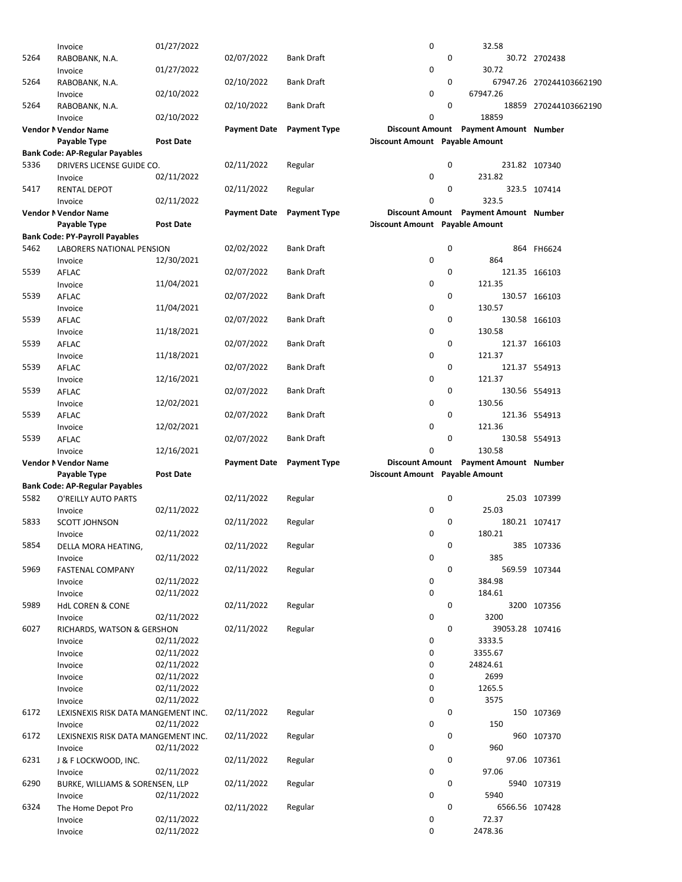|      | Invoice                               | 01/27/2022       |                     |                     | 0                              |   | 32.58                                 |                          |
|------|---------------------------------------|------------------|---------------------|---------------------|--------------------------------|---|---------------------------------------|--------------------------|
| 5264 | RABOBANK, N.A.                        |                  | 02/07/2022          | Bank Draft          |                                | 0 |                                       | 30.72 2702438            |
|      |                                       | 01/27/2022       |                     |                     | 0                              |   | 30.72                                 |                          |
|      | Invoice                               |                  |                     |                     |                                |   |                                       |                          |
| 5264 | RABOBANK, N.A.                        |                  | 02/10/2022          | <b>Bank Draft</b>   |                                | 0 |                                       | 67947.26 270244103662190 |
|      | Invoice                               | 02/10/2022       |                     |                     | 0                              |   | 67947.26                              |                          |
| 5264 | RABOBANK, N.A.                        |                  | 02/10/2022          | Bank Draft          |                                | 0 |                                       | 18859 270244103662190    |
|      | Invoice                               | 02/10/2022       |                     |                     | $\mathbf 0$                    |   | 18859                                 |                          |
|      |                                       |                  |                     |                     |                                |   |                                       |                          |
|      | Vendor N Vendor Name                  |                  | <b>Payment Date</b> | <b>Payment Type</b> |                                |   | Discount Amount Payment Amount Number |                          |
|      | Payable Type                          | <b>Post Date</b> |                     |                     | Discount Amount Payable Amount |   |                                       |                          |
|      | <b>Bank Code: AP-Regular Payables</b> |                  |                     |                     |                                |   |                                       |                          |
| 5336 | DRIVERS LICENSE GUIDE CO.             |                  | 02/11/2022          | Regular             |                                | 0 |                                       | 231.82 107340            |
|      | Invoice                               | 02/11/2022       |                     |                     | 0                              |   | 231.82                                |                          |
|      |                                       |                  |                     |                     |                                | 0 |                                       |                          |
| 5417 | RENTAL DEPOT                          |                  | 02/11/2022          | Regular             |                                |   |                                       | 323.5 107414             |
|      | Invoice                               | 02/11/2022       |                     |                     | 0                              |   | 323.5                                 |                          |
|      | Vendor N Vendor Name                  |                  | <b>Payment Date</b> | <b>Payment Type</b> |                                |   | Discount Amount Payment Amount Number |                          |
|      | Payable Type                          | <b>Post Date</b> |                     |                     | Discount Amount Payable Amount |   |                                       |                          |
|      | <b>Bank Code: PY-Payroll Payables</b> |                  |                     |                     |                                |   |                                       |                          |
| 5462 | LABORERS NATIONAL PENSION             |                  | 02/02/2022          | Bank Draft          |                                | 0 |                                       | 864 FH6624               |
|      |                                       |                  |                     |                     |                                |   |                                       |                          |
|      | Invoice                               | 12/30/2021       |                     |                     | 0                              |   | 864                                   |                          |
| 5539 | AFLAC                                 |                  | 02/07/2022          | <b>Bank Draft</b>   |                                | 0 |                                       | 121.35 166103            |
|      | Invoice                               | 11/04/2021       |                     |                     | 0                              |   | 121.35                                |                          |
| 5539 | AFLAC                                 |                  | 02/07/2022          | <b>Bank Draft</b>   |                                | 0 |                                       | 130.57 166103            |
|      | Invoice                               | 11/04/2021       |                     |                     | 0                              |   | 130.57                                |                          |
| 5539 |                                       |                  |                     | Bank Draft          |                                | 0 |                                       |                          |
|      | AFLAC                                 |                  | 02/07/2022          |                     |                                |   |                                       | 130.58 166103            |
|      | Invoice                               | 11/18/2021       |                     |                     | 0                              |   | 130.58                                |                          |
| 5539 | AFLAC                                 |                  | 02/07/2022          | Bank Draft          |                                | 0 |                                       | 121.37 166103            |
|      | Invoice                               | 11/18/2021       |                     |                     | 0                              |   | 121.37                                |                          |
| 5539 | AFLAC                                 |                  | 02/07/2022          | Bank Draft          |                                | 0 |                                       | 121.37 554913            |
|      | Invoice                               | 12/16/2021       |                     |                     | 0                              |   | 121.37                                |                          |
|      |                                       |                  |                     |                     |                                |   |                                       |                          |
| 5539 | AFLAC                                 |                  | 02/07/2022          | Bank Draft          |                                | 0 |                                       | 130.56 554913            |
|      | Invoice                               | 12/02/2021       |                     |                     | 0                              |   | 130.56                                |                          |
| 5539 | AFLAC                                 |                  | 02/07/2022          | Bank Draft          |                                | 0 |                                       | 121.36 554913            |
|      | Invoice                               | 12/02/2021       |                     |                     | 0                              |   | 121.36                                |                          |
| 5539 | AFLAC                                 |                  | 02/07/2022          | Bank Draft          |                                | 0 |                                       | 130.58 554913            |
|      | Invoice                               | 12/16/2021       |                     |                     | 0                              |   | 130.58                                |                          |
|      | Vendor N Vendor Name                  |                  | <b>Payment Date</b> | <b>Payment Type</b> |                                |   | Discount Amount Payment Amount Number |                          |
|      |                                       |                  |                     |                     |                                |   |                                       |                          |
|      | Payable Type                          | <b>Post Date</b> |                     |                     | Discount Amount Payable Amount |   |                                       |                          |
|      | <b>Bank Code: AP-Regular Payables</b> |                  |                     |                     |                                |   |                                       |                          |
| 5582 | O'REILLY AUTO PARTS                   |                  | 02/11/2022          | Regular             |                                | 0 |                                       | 25.03 107399             |
|      | Invoice                               | 02/11/2022       |                     |                     | 0                              |   | 25.03                                 |                          |
| 5833 | <b>SCOTT JOHNSON</b>                  |                  | 02/11/2022          | Regular             |                                | 0 |                                       | 180.21 107417            |
|      |                                       |                  |                     |                     | 0                              |   | 180.21                                |                          |
|      | Invoice                               | 02/11/2022       |                     |                     |                                |   |                                       |                          |
| 5854 | DELLA MORA HEATING,                   |                  | 02/11/2022          | Regular             |                                | 0 |                                       | 385 107336               |
|      | Invoice                               | 02/11/2022       |                     |                     | 0                              |   | 385                                   |                          |
| 5969 | FASTENAL COMPANY                      |                  | 02/11/2022          | Regular             |                                | 0 |                                       | 569.59 107344            |
|      | Invoice                               | 02/11/2022       |                     |                     | 0                              |   | 384.98                                |                          |
|      | Invoice                               | 02/11/2022       |                     |                     | 0                              |   | 184.61                                |                          |
|      |                                       |                  |                     |                     |                                |   |                                       |                          |
| 5989 | <b>HdL COREN &amp; CONE</b>           |                  | 02/11/2022          | Regular             |                                | 0 |                                       | 3200 107356              |
|      | Invoice                               | 02/11/2022       |                     |                     | 0                              |   | 3200                                  |                          |
| 6027 | RICHARDS, WATSON & GERSHON            |                  | 02/11/2022          | Regular             |                                | 0 | 39053.28 107416                       |                          |
|      | Invoice                               | 02/11/2022       |                     |                     | 0                              |   | 3333.5                                |                          |
|      | Invoice                               | 02/11/2022       |                     |                     | 0                              |   | 3355.67                               |                          |
|      | Invoice                               | 02/11/2022       |                     |                     | 0                              |   | 24824.61                              |                          |
|      |                                       |                  |                     |                     |                                |   |                                       |                          |
|      | Invoice                               | 02/11/2022       |                     |                     | 0                              |   | 2699                                  |                          |
|      | Invoice                               | 02/11/2022       |                     |                     | 0                              |   | 1265.5                                |                          |
|      | Invoice                               | 02/11/2022       |                     |                     | 0                              |   | 3575                                  |                          |
| 6172 | LEXISNEXIS RISK DATA MANGEMENT INC.   |                  | 02/11/2022          | Regular             |                                | 0 |                                       | 150 107369               |
|      | Invoice                               | 02/11/2022       |                     |                     | 0                              |   | 150                                   |                          |
| 6172 | LEXISNEXIS RISK DATA MANGEMENT INC.   |                  | 02/11/2022          | Regular             |                                | 0 |                                       | 960 107370               |
|      | Invoice                               | 02/11/2022       |                     |                     | 0                              |   | 960                                   |                          |
|      |                                       |                  |                     |                     |                                | 0 |                                       |                          |
| 6231 | J & F LOCKWOOD, INC.                  |                  | 02/11/2022          | Regular             |                                |   |                                       | 97.06 107361             |
|      | Invoice                               | 02/11/2022       |                     |                     | 0                              |   | 97.06                                 |                          |
| 6290 | BURKE, WILLIAMS & SORENSEN, LLP       |                  | 02/11/2022          | Regular             |                                | 0 |                                       | 5940 107319              |
|      | Invoice                               | 02/11/2022       |                     |                     | 0                              |   | 5940                                  |                          |
| 6324 | The Home Depot Pro                    |                  | 02/11/2022          | Regular             |                                | 0 | 6566.56 107428                        |                          |
|      | Invoice                               | 02/11/2022       |                     |                     | 0                              |   | 72.37                                 |                          |
|      | Invoice                               | 02/11/2022       |                     |                     | 0                              |   | 2478.36                               |                          |
|      |                                       |                  |                     |                     |                                |   |                                       |                          |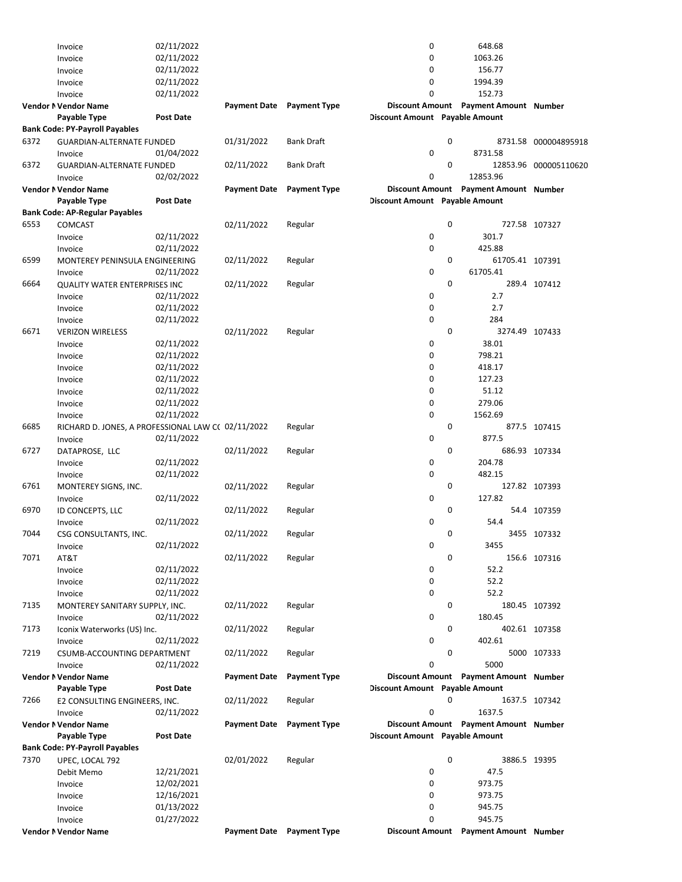|      | Invoice                                            | 02/11/2022       |                     |                                  | 0                              |   | 648.68                                |                       |
|------|----------------------------------------------------|------------------|---------------------|----------------------------------|--------------------------------|---|---------------------------------------|-----------------------|
|      | Invoice                                            | 02/11/2022       |                     |                                  | 0                              |   | 1063.26                               |                       |
|      | Invoice                                            | 02/11/2022       |                     |                                  | 0                              |   | 156.77                                |                       |
|      | Invoice                                            | 02/11/2022       |                     |                                  | 0                              |   | 1994.39                               |                       |
|      | Invoice                                            | 02/11/2022       |                     |                                  | 0                              |   | 152.73                                |                       |
|      | Vendor N Vendor Name                               |                  | <b>Payment Date</b> | <b>Payment Type</b>              |                                |   | Discount Amount Payment Amount Number |                       |
|      | Payable Type                                       | <b>Post Date</b> |                     |                                  | Discount Amount Payable Amount |   |                                       |                       |
|      | <b>Bank Code: PY-Payroll Payables</b>              |                  |                     |                                  |                                |   |                                       |                       |
| 6372 | <b>GUARDIAN-ALTERNATE FUNDED</b>                   |                  | 01/31/2022          | Bank Draft                       |                                | 0 |                                       | 8731.58 000004895918  |
|      | Invoice                                            | 01/04/2022       |                     |                                  | 0                              |   | 8731.58                               |                       |
| 6372 | <b>GUARDIAN-ALTERNATE FUNDED</b>                   |                  | 02/11/2022          | <b>Bank Draft</b>                |                                | 0 |                                       | 12853.96 000005110620 |
|      | Invoice                                            | 02/02/2022       |                     |                                  | 0                              |   | 12853.96                              |                       |
|      | Vendor N Vendor Name                               |                  | <b>Payment Date</b> | <b>Payment Type</b>              |                                |   | Discount Amount Payment Amount Number |                       |
|      | Payable Type                                       | <b>Post Date</b> |                     |                                  | Discount Amount Payable Amount |   |                                       |                       |
|      | Bank Code: AP-Regular Payables                     |                  |                     |                                  |                                |   |                                       |                       |
| 6553 | COMCAST                                            |                  | 02/11/2022          | Regular                          |                                | 0 |                                       | 727.58 107327         |
|      | Invoice                                            | 02/11/2022       |                     |                                  | 0                              |   | 301.7                                 |                       |
|      | Invoice                                            | 02/11/2022       |                     |                                  | 0                              |   | 425.88                                |                       |
| 6599 | MONTEREY PENINSULA ENGINEERING                     |                  | 02/11/2022          | Regular                          |                                | 0 | 61705.41 107391                       |                       |
|      | Invoice                                            | 02/11/2022       |                     |                                  | 0                              |   | 61705.41                              |                       |
| 6664 | QUALITY WATER ENTERPRISES INC                      |                  | 02/11/2022          | Regular                          |                                | 0 |                                       | 289.4 107412          |
|      | Invoice                                            | 02/11/2022       |                     |                                  | 0                              |   | 2.7                                   |                       |
|      |                                                    | 02/11/2022       |                     |                                  | 0                              |   | 2.7                                   |                       |
|      | Invoice                                            |                  |                     |                                  | 0                              |   | 284                                   |                       |
|      | Invoice                                            | 02/11/2022       |                     |                                  |                                |   |                                       |                       |
| 6671 | <b>VERIZON WIRELESS</b>                            |                  | 02/11/2022          | Regular                          |                                | 0 | 3274.49 107433                        |                       |
|      | Invoice                                            | 02/11/2022       |                     |                                  | 0                              |   | 38.01                                 |                       |
|      | Invoice                                            | 02/11/2022       |                     |                                  | 0                              |   | 798.21                                |                       |
|      | Invoice                                            | 02/11/2022       |                     |                                  | 0                              |   | 418.17                                |                       |
|      | Invoice                                            | 02/11/2022       |                     |                                  | 0                              |   | 127.23                                |                       |
|      | Invoice                                            | 02/11/2022       |                     |                                  | 0                              |   | 51.12                                 |                       |
|      | Invoice                                            | 02/11/2022       |                     |                                  | 0                              |   | 279.06                                |                       |
|      | Invoice                                            | 02/11/2022       |                     |                                  | $\mathbf 0$                    |   | 1562.69                               |                       |
| 6685 | RICHARD D. JONES, A PROFESSIONAL LAW C( 02/11/2022 |                  |                     | Regular                          |                                | 0 |                                       | 877.5 107415          |
|      | Invoice                                            | 02/11/2022       |                     |                                  | 0                              |   | 877.5                                 |                       |
| 6727 | DATAPROSE, LLC                                     |                  | 02/11/2022          | Regular                          |                                | 0 |                                       | 686.93 107334         |
|      | Invoice                                            | 02/11/2022       |                     |                                  | 0                              |   | 204.78                                |                       |
|      | Invoice                                            | 02/11/2022       |                     |                                  | 0                              |   | 482.15                                |                       |
| 6761 | MONTEREY SIGNS, INC.                               |                  | 02/11/2022          | Regular                          |                                | 0 |                                       | 127.82 107393         |
|      | Invoice                                            | 02/11/2022       |                     |                                  | 0                              |   | 127.82                                |                       |
| 6970 | ID CONCEPTS, LLC                                   |                  | 02/11/2022          | Regular                          |                                | 0 |                                       | 54.4 107359           |
|      | Invoice                                            | 02/11/2022       |                     |                                  | 0                              |   | 54.4                                  |                       |
| 7044 | CSG CONSULTANTS, INC.                              |                  | 02/11/2022          | Regular                          |                                | 0 |                                       | 3455 107332           |
|      | Invoice                                            | 02/11/2022       |                     |                                  | 0                              |   | 3455                                  |                       |
| 7071 | AT&T                                               |                  | 02/11/2022          | Regular                          |                                | 0 |                                       | 156.6 107316          |
|      | Invoice                                            | 02/11/2022       |                     |                                  | 0                              |   | 52.2                                  |                       |
|      | Invoice                                            | 02/11/2022       |                     |                                  | 0                              |   | 52.2                                  |                       |
|      | Invoice                                            | 02/11/2022       |                     |                                  | 0                              |   | 52.2                                  |                       |
| 7135 | MONTEREY SANITARY SUPPLY, INC.                     |                  | 02/11/2022          | Regular                          |                                | 0 |                                       | 180.45 107392         |
|      | Invoice                                            | 02/11/2022       |                     |                                  | 0                              |   | 180.45                                |                       |
| 7173 | Iconix Waterworks (US) Inc.                        |                  | 02/11/2022          | Regular                          |                                | 0 |                                       | 402.61 107358         |
|      | Invoice                                            | 02/11/2022       |                     |                                  | 0                              |   | 402.61                                |                       |
| 7219 | CSUMB-ACCOUNTING DEPARTMENT                        |                  | 02/11/2022          | Regular                          |                                | 0 |                                       | 5000 107333           |
|      | Invoice                                            | 02/11/2022       |                     |                                  | 0                              |   | 5000                                  |                       |
|      | Vendor N Vendor Name                               |                  | <b>Payment Date</b> | <b>Payment Type</b>              |                                |   | Discount Amount Payment Amount Number |                       |
|      | Payable Type                                       | <b>Post Date</b> |                     |                                  | Discount Amount Payable Amount |   |                                       |                       |
| 7266 | E2 CONSULTING ENGINEERS, INC.                      |                  | 02/11/2022          | Regular                          |                                | 0 |                                       | 1637.5 107342         |
|      | Invoice                                            | 02/11/2022       |                     |                                  | 0                              |   | 1637.5                                |                       |
|      | Vendor N Vendor Name                               |                  | <b>Payment Date</b> | <b>Payment Type</b>              |                                |   | Discount Amount Payment Amount Number |                       |
|      | Payable Type                                       | <b>Post Date</b> |                     |                                  | Discount Amount Payable Amount |   |                                       |                       |
|      | <b>Bank Code: PY-Payroll Payables</b>              |                  |                     |                                  |                                |   |                                       |                       |
| 7370 | UPEC, LOCAL 792                                    |                  | 02/01/2022          | Regular                          |                                | 0 | 3886.5 19395                          |                       |
|      | Debit Memo                                         | 12/21/2021       |                     |                                  | 0                              |   | 47.5                                  |                       |
|      | Invoice                                            | 12/02/2021       |                     |                                  | 0                              |   | 973.75                                |                       |
|      | Invoice                                            | 12/16/2021       |                     |                                  | 0                              |   | 973.75                                |                       |
|      | Invoice                                            | 01/13/2022       |                     |                                  | 0                              |   | 945.75                                |                       |
|      | Invoice                                            | 01/27/2022       |                     |                                  | 0                              |   | 945.75                                |                       |
|      | Vendor N Vendor Name                               |                  |                     | <b>Payment Date</b> Payment Type |                                |   | Discount Amount Payment Amount Number |                       |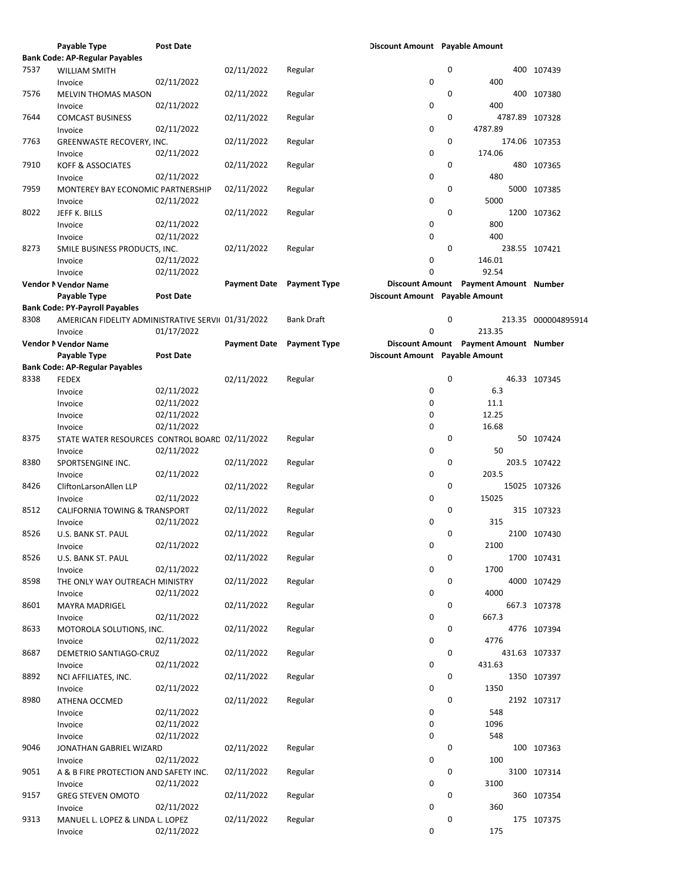|      | Payable Type                                       | <b>Post Date</b> |                     |                     | Discount Amount Payable Amount |   |                                       |                     |
|------|----------------------------------------------------|------------------|---------------------|---------------------|--------------------------------|---|---------------------------------------|---------------------|
|      | <b>Bank Code: AP-Regular Payables</b>              |                  |                     |                     |                                |   |                                       |                     |
| 7537 | <b>WILLIAM SMITH</b>                               |                  | 02/11/2022          | Regular             |                                | 0 |                                       | 400 107439          |
|      | Invoice                                            | 02/11/2022       |                     |                     | 0                              |   | 400                                   |                     |
| 7576 | <b>MELVIN THOMAS MASON</b>                         |                  | 02/11/2022          | Regular             |                                | 0 |                                       | 400 107380          |
|      |                                                    | 02/11/2022       |                     |                     | 0                              |   | 400                                   |                     |
|      | Invoice                                            |                  |                     |                     |                                |   |                                       |                     |
| 7644 | <b>COMCAST BUSINESS</b>                            |                  | 02/11/2022          | Regular             |                                | 0 | 4787.89 107328                        |                     |
|      | Invoice                                            | 02/11/2022       |                     |                     | 0                              |   | 4787.89                               |                     |
| 7763 | GREENWASTE RECOVERY, INC.                          |                  | 02/11/2022          | Regular             |                                | 0 | 174.06 107353                         |                     |
|      | Invoice                                            | 02/11/2022       |                     |                     | 0                              |   | 174.06                                |                     |
| 7910 | <b>KOFF &amp; ASSOCIATES</b>                       |                  | 02/11/2022          | Regular             |                                | 0 |                                       | 480 107365          |
|      | Invoice                                            | 02/11/2022       |                     |                     | 0                              |   | 480                                   |                     |
| 7959 | MONTEREY BAY ECONOMIC PARTNERSHIP                  |                  | 02/11/2022          | Regular             |                                | 0 |                                       | 5000 107385         |
|      | Invoice                                            | 02/11/2022       |                     |                     | 0                              |   | 5000                                  |                     |
| 8022 | JEFF K. BILLS                                      |                  | 02/11/2022          | Regular             |                                | 0 |                                       | 1200 107362         |
|      |                                                    |                  |                     |                     |                                |   |                                       |                     |
|      | Invoice                                            | 02/11/2022       |                     |                     | 0                              |   | 800                                   |                     |
|      | Invoice                                            | 02/11/2022       |                     |                     | 0                              |   | 400                                   |                     |
| 8273 | SMILE BUSINESS PRODUCTS, INC.                      |                  | 02/11/2022          | Regular             |                                | 0 | 238.55 107421                         |                     |
|      | Invoice                                            | 02/11/2022       |                     |                     | 0                              |   | 146.01                                |                     |
|      | Invoice                                            | 02/11/2022       |                     |                     | 0                              |   | 92.54                                 |                     |
|      | Vendor N Vendor Name                               |                  | <b>Payment Date</b> | <b>Payment Type</b> |                                |   | Discount Amount Payment Amount Number |                     |
|      | Payable Type                                       | <b>Post Date</b> |                     |                     | Discount Amount Payable Amount |   |                                       |                     |
|      | <b>Bank Code: PY-Payroll Payables</b>              |                  |                     |                     |                                |   |                                       |                     |
| 8308 | AMERICAN FIDELITY ADMINISTRATIVE SERVII 01/31/2022 |                  |                     | <b>Bank Draft</b>   |                                | 0 |                                       | 213.35 000004895914 |
|      | Invoice                                            | 01/17/2022       |                     |                     | 0                              |   | 213.35                                |                     |
|      |                                                    |                  |                     |                     |                                |   |                                       |                     |
|      | Vendor N Vendor Name                               |                  | <b>Payment Date</b> | <b>Payment Type</b> |                                |   | Discount Amount Payment Amount Number |                     |
|      | Payable Type                                       | <b>Post Date</b> |                     |                     | Discount Amount Payable Amount |   |                                       |                     |
|      | Bank Code: AP-Regular Payables                     |                  |                     |                     |                                |   |                                       |                     |
| 8338 | <b>FEDEX</b>                                       |                  | 02/11/2022          | Regular             |                                | 0 |                                       | 46.33 107345        |
|      | Invoice                                            | 02/11/2022       |                     |                     | 0                              |   | 6.3                                   |                     |
|      | Invoice                                            | 02/11/2022       |                     |                     | 0                              |   | 11.1                                  |                     |
|      | Invoice                                            | 02/11/2022       |                     |                     | 0                              |   | 12.25                                 |                     |
|      | Invoice                                            | 02/11/2022       |                     |                     | 0                              |   | 16.68                                 |                     |
| 8375 | STATE WATER RESOURCES CONTROL BOARD 02/11/2022     |                  |                     | Regular             |                                | 0 |                                       | 50 107424           |
|      | Invoice                                            | 02/11/2022       |                     |                     | 0                              |   | 50                                    |                     |
|      |                                                    |                  |                     |                     |                                |   |                                       |                     |
| 8380 | SPORTSENGINE INC.                                  |                  | 02/11/2022          | Regular             |                                | 0 |                                       | 203.5 107422        |
|      | Invoice                                            | 02/11/2022       |                     |                     | 0                              |   | 203.5                                 |                     |
| 8426 | CliftonLarsonAllen LLP                             |                  | 02/11/2022          | Regular             |                                | 0 |                                       | 15025 107326        |
|      | Invoice                                            | 02/11/2022       |                     |                     | 0                              |   | 15025                                 |                     |
| 8512 | <b>CALIFORNIA TOWING &amp; TRANSPORT</b>           |                  | 02/11/2022          | Regular             |                                | 0 |                                       | 315 107323          |
|      | Invoice                                            | 02/11/2022       |                     |                     | 0                              |   | 315                                   |                     |
| 8526 | U.S. BANK ST. PAUL                                 |                  | 02/11/2022          | Regular             |                                | 0 |                                       | 2100 107430         |
|      | Invoice                                            | 02/11/2022       |                     |                     | 0                              |   | 2100                                  |                     |
| 8526 | U.S. BANK ST. PAUL                                 |                  | 02/11/2022          | Regular             |                                | 0 |                                       | 1700 107431         |
|      | Invoice                                            | 02/11/2022       |                     |                     | 0                              |   | 1700                                  |                     |
|      |                                                    |                  |                     |                     |                                |   |                                       |                     |
| 8598 | THE ONLY WAY OUTREACH MINISTRY                     |                  | 02/11/2022          | Regular             |                                | 0 |                                       | 4000 107429         |
|      | Invoice                                            | 02/11/2022       |                     |                     | 0                              |   | 4000                                  |                     |
| 8601 | <b>MAYRA MADRIGEL</b>                              |                  | 02/11/2022          | Regular             |                                | 0 |                                       | 667.3 107378        |
|      | Invoice                                            | 02/11/2022       |                     |                     | 0                              |   | 667.3                                 |                     |
| 8633 | MOTOROLA SOLUTIONS, INC.                           |                  | 02/11/2022          | Regular             |                                | 0 |                                       | 4776 107394         |
|      | Invoice                                            | 02/11/2022       |                     |                     | 0                              |   | 4776                                  |                     |
| 8687 | DEMETRIO SANTIAGO-CRUZ                             |                  | 02/11/2022          | Regular             |                                | 0 | 431.63 107337                         |                     |
|      | Invoice                                            | 02/11/2022       |                     |                     | 0                              |   | 431.63                                |                     |
| 8892 | NCI AFFILIATES, INC.                               |                  | 02/11/2022          | Regular             |                                | 0 |                                       | 1350 107397         |
|      | Invoice                                            | 02/11/2022       |                     |                     | 0                              |   | 1350                                  |                     |
| 8980 |                                                    |                  | 02/11/2022          | Regular             |                                | 0 |                                       |                     |
|      | ATHENA OCCMED                                      |                  |                     |                     |                                |   |                                       | 2192 107317         |
|      | Invoice                                            | 02/11/2022       |                     |                     | 0                              |   | 548                                   |                     |
|      | Invoice                                            | 02/11/2022       |                     |                     | 0                              |   | 1096                                  |                     |
|      | Invoice                                            | 02/11/2022       |                     |                     | 0                              |   | 548                                   |                     |
| 9046 | JONATHAN GABRIEL WIZARD                            |                  | 02/11/2022          | Regular             |                                | 0 |                                       | 100 107363          |
|      | Invoice                                            | 02/11/2022       |                     |                     | 0                              |   | 100                                   |                     |
| 9051 | A & B FIRE PROTECTION AND SAFETY INC.              |                  | 02/11/2022          | Regular             |                                | 0 |                                       | 3100 107314         |
|      | Invoice                                            | 02/11/2022       |                     |                     | 0                              |   | 3100                                  |                     |
| 9157 | <b>GREG STEVEN OMOTO</b>                           |                  | 02/11/2022          | Regular             |                                | 0 |                                       | 360 107354          |
|      | Invoice                                            | 02/11/2022       |                     |                     | 0                              |   | 360                                   |                     |
| 9313 | MANUEL L. LOPEZ & LINDA L. LOPEZ                   |                  |                     |                     |                                | 0 |                                       |                     |
|      |                                                    |                  | 02/11/2022          | Regular             |                                |   |                                       | 175 107375          |
|      | Invoice                                            | 02/11/2022       |                     |                     | 0                              |   | 175                                   |                     |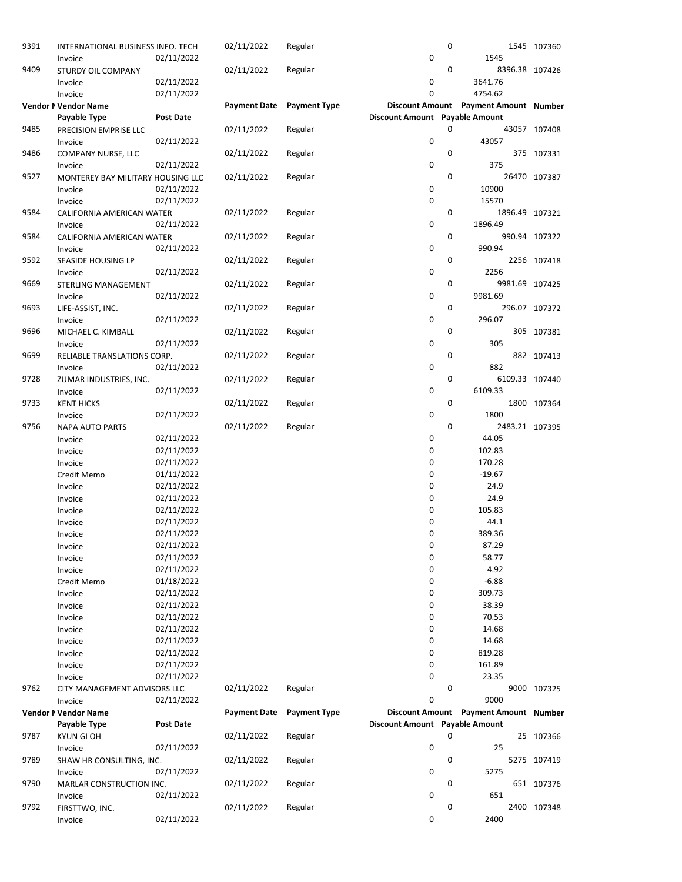| 9391 | INTERNATIONAL BUSINESS INFO. TECH<br>Invoice | 02/11/2022       | 02/11/2022          | Regular             | 0                                     | 0 | 1545                                  | 1545 107360    |
|------|----------------------------------------------|------------------|---------------------|---------------------|---------------------------------------|---|---------------------------------------|----------------|
| 9409 | STURDY OIL COMPANY                           |                  | 02/11/2022          | Regular             |                                       | 0 |                                       | 8396.38 107426 |
|      | Invoice                                      | 02/11/2022       |                     |                     | 0                                     |   | 3641.76                               |                |
|      | Invoice                                      | 02/11/2022       |                     |                     | 0                                     |   | 4754.62                               |                |
|      | Vendor N Vendor Name                         |                  | <b>Payment Date</b> | <b>Payment Type</b> |                                       |   | Discount Amount Payment Amount Number |                |
|      | Payable Type                                 | <b>Post Date</b> |                     |                     | <b>Discount Amount</b> Payable Amount |   |                                       |                |
| 9485 | PRECISION EMPRISE LLC                        |                  | 02/11/2022          | Regular             |                                       | 0 |                                       | 43057 107408   |
|      | Invoice                                      | 02/11/2022       |                     |                     | 0                                     |   | 43057                                 |                |
| 9486 | COMPANY NURSE, LLC                           |                  | 02/11/2022          | Regular             |                                       | 0 |                                       | 375 107331     |
|      | Invoice                                      | 02/11/2022       |                     |                     | 0                                     |   | 375                                   |                |
| 9527 | MONTEREY BAY MILITARY HOUSING LLC            |                  | 02/11/2022          | Regular             |                                       | 0 |                                       | 26470 107387   |
|      | Invoice                                      | 02/11/2022       |                     |                     | 0                                     |   | 10900                                 |                |
|      | Invoice                                      | 02/11/2022       |                     |                     | 0                                     |   | 15570                                 |                |
| 9584 | CALIFORNIA AMERICAN WATER                    |                  | 02/11/2022          | Regular             |                                       | 0 |                                       | 1896.49 107321 |
|      | Invoice                                      | 02/11/2022       |                     |                     | 0                                     |   | 1896.49                               |                |
| 9584 | CALIFORNIA AMERICAN WATER                    |                  | 02/11/2022          | Regular             |                                       | 0 |                                       | 990.94 107322  |
|      | Invoice                                      | 02/11/2022       |                     |                     | 0                                     |   | 990.94                                |                |
| 9592 | SEASIDE HOUSING LP                           |                  | 02/11/2022          | Regular             |                                       | 0 |                                       | 2256 107418    |
|      | Invoice                                      | 02/11/2022       |                     |                     | 0                                     |   | 2256                                  |                |
| 9669 |                                              |                  | 02/11/2022          | Regular             |                                       | 0 |                                       | 9981.69 107425 |
|      | STERLING MANAGEMENT<br>Invoice               | 02/11/2022       |                     |                     | 0                                     |   | 9981.69                               |                |
|      |                                              |                  | 02/11/2022          |                     |                                       |   |                                       |                |
| 9693 | LIFE-ASSIST, INC.                            |                  |                     | Regular             |                                       | 0 |                                       | 296.07 107372  |
|      | Invoice                                      | 02/11/2022       |                     |                     | 0                                     |   | 296.07                                |                |
| 9696 | MICHAEL C. KIMBALL                           |                  | 02/11/2022          | Regular             |                                       | 0 |                                       | 305 107381     |
|      | Invoice                                      | 02/11/2022       |                     |                     | 0                                     |   | 305                                   |                |
| 9699 | RELIABLE TRANSLATIONS CORP.                  |                  | 02/11/2022          | Regular             |                                       | 0 |                                       | 882 107413     |
|      | Invoice                                      | 02/11/2022       |                     |                     | 0                                     |   | 882                                   |                |
| 9728 | ZUMAR INDUSTRIES, INC.                       |                  | 02/11/2022          | Regular             |                                       | 0 |                                       | 6109.33 107440 |
|      | Invoice                                      | 02/11/2022       |                     |                     | 0                                     |   | 6109.33                               |                |
| 9733 | <b>KENT HICKS</b>                            |                  | 02/11/2022          | Regular             |                                       | 0 |                                       | 1800 107364    |
|      | Invoice                                      | 02/11/2022       |                     |                     | 0                                     |   | 1800                                  |                |
| 9756 | <b>NAPA AUTO PARTS</b>                       |                  | 02/11/2022          | Regular             |                                       | 0 |                                       | 2483.21 107395 |
|      | Invoice                                      | 02/11/2022       |                     |                     | 0                                     |   | 44.05                                 |                |
|      | Invoice                                      | 02/11/2022       |                     |                     | 0                                     |   | 102.83                                |                |
|      | Invoice                                      | 02/11/2022       |                     |                     | 0                                     |   | 170.28                                |                |
|      | Credit Memo                                  | 01/11/2022       |                     |                     | 0                                     |   | $-19.67$                              |                |
|      | Invoice                                      | 02/11/2022       |                     |                     | 0                                     |   | 24.9                                  |                |
|      | Invoice                                      | 02/11/2022       |                     |                     | 0                                     |   | 24.9                                  |                |
|      | Invoice                                      | 02/11/2022       |                     |                     | 0                                     |   | 105.83                                |                |
|      | Invoice                                      | 02/11/2022       |                     |                     | 0                                     |   | 44.1                                  |                |
|      |                                              | 02/11/2022       |                     |                     | 0                                     |   | 389.36                                |                |
|      | Invoice                                      |                  |                     |                     |                                       |   |                                       |                |
|      | Invoice                                      | 02/11/2022       |                     |                     | 0                                     |   | 87.29                                 |                |
|      | Invoice                                      | 02/11/2022       |                     |                     | 0                                     |   | 58.77                                 |                |
|      | Invoice                                      | 02/11/2022       |                     |                     | 0                                     |   | 4.92                                  |                |
|      | Credit Memo                                  | 01/18/2022       |                     |                     | 0                                     |   | $-6.88$                               |                |
|      | Invoice                                      | 02/11/2022       |                     |                     | 0                                     |   | 309.73                                |                |
|      | Invoice                                      | 02/11/2022       |                     |                     | 0                                     |   | 38.39                                 |                |
|      | Invoice                                      | 02/11/2022       |                     |                     | 0                                     |   | 70.53                                 |                |
|      | Invoice                                      | 02/11/2022       |                     |                     | 0                                     |   | 14.68                                 |                |
|      | Invoice                                      | 02/11/2022       |                     |                     | 0                                     |   | 14.68                                 |                |
|      | Invoice                                      | 02/11/2022       |                     |                     | 0                                     |   | 819.28                                |                |
|      | Invoice                                      | 02/11/2022       |                     |                     | 0                                     |   | 161.89                                |                |
|      | Invoice                                      | 02/11/2022       |                     |                     | 0                                     |   | 23.35                                 |                |
| 9762 | CITY MANAGEMENT ADVISORS LLC                 |                  | 02/11/2022          | Regular             |                                       | 0 |                                       | 9000 107325    |
|      | Invoice                                      | 02/11/2022       |                     |                     | 0                                     |   | 9000                                  |                |
|      | Vendor N Vendor Name                         |                  | <b>Payment Date</b> | <b>Payment Type</b> |                                       |   | Discount Amount Payment Amount Number |                |
|      | Payable Type                                 | <b>Post Date</b> |                     |                     | <b>Discount Amount</b> Payable Amount |   |                                       |                |
| 9787 | <b>KYUN GI OH</b>                            |                  | 02/11/2022          | Regular             |                                       | 0 |                                       | 25 107366      |
|      | Invoice                                      | 02/11/2022       |                     |                     | 0                                     |   | 25                                    |                |
| 9789 | SHAW HR CONSULTING, INC.                     |                  | 02/11/2022          | Regular             |                                       | 0 |                                       | 5275 107419    |
|      | Invoice                                      | 02/11/2022       |                     |                     | 0                                     |   | 5275                                  |                |
| 9790 | MARLAR CONSTRUCTION INC.                     |                  | 02/11/2022          | Regular             |                                       | 0 |                                       | 651 107376     |
|      | Invoice                                      | 02/11/2022       |                     |                     | 0                                     |   | 651                                   |                |
| 9792 | FIRSTTWO, INC.                               |                  | 02/11/2022          | Regular             |                                       | 0 |                                       | 2400 107348    |
|      | Invoice                                      | 02/11/2022       |                     |                     | 0                                     |   | 2400                                  |                |
|      |                                              |                  |                     |                     |                                       |   |                                       |                |